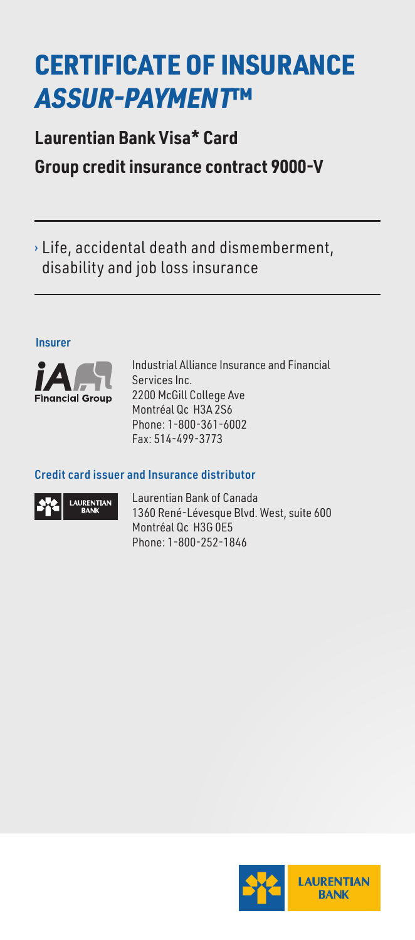# CERTIFICATE OF INSURANCE ASSUR-PAYMENT™

**Laurentian Bank Visa\* Card**

**Group credit insurance contract 9000-V**

 $\rightarrow$  Life, accidental death and dismemberment, disability and job loss insurance

#### Insurer



Francial<br>
Services Inc.<br>
2200 McGill College Ave<br>
Montréal Qc H3A 2S6<br>
Phone: 1-800-361-6002<br>
Fax: 514-499-3773<br> **SAMPLE CONTEANT CONTEANT CONTEANT CONTEANT CONTEANT CONTEANT CONTEANT CONTEANT CONTEANT CONTEANT CONTEANT CO** Industrial Alliance Insurance and Financial Services Inc. 2200 McGill College Ave Montréal Qc H3A 2S6 Phone: 1-800-361-6002 Fax: 514-499-3773

#### Credit card issuer and Insurance distributor



Laurentian Bank of Canada 1360 René-Lévesque Blvd. West, suite 600 Montréal Qc H3G 0E5 Phone: 1-800-252-1846

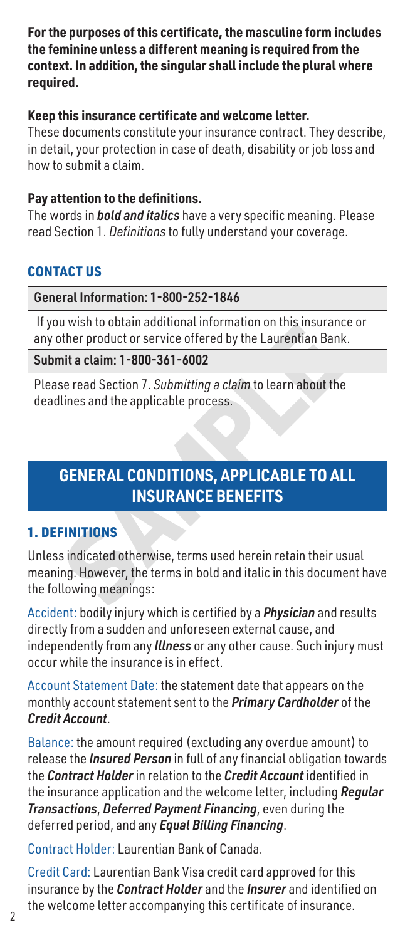**For the purposes of this certificate, the masculine form includes the feminine unless a different meaning is required from the context. In addition, the singular shall include the plural where required.**

#### **Keep this insurance certificate and welcome letter.**

These documents constitute your insurance contract. They describe, in detail, your protection in case of death, disability or job loss and how to submit a claim.

#### **Pay attention to the definitions.**

The words in *bold and italics* have a very specific meaning. Please read Section 1. *Definitions* to fully understand your coverage.

#### CONTACT US

General Information: 1-800-252-1846

 If you wish to obtain additional information on this insurance or any other product or service offered by the Laurentian Bank.

Submit a claim: 1-800-361-6002

Please read Section 7. *Submitting a claim* to learn about the deadlines and the applicable process.

# **GENERAL CONDITIONS, APPLICABLE TO ALL INSURANCE BENEFITS**

#### 1. DEFINITIONS

of the product or service offered by the Laurentian Bank.<br>
Int a claim: 1-800-361-6002<br>
se read Section 7. Submitting a claim to learn about the<br>
lines and the applicable process.<br> **SAMPLICABLE TO ALL**<br> **INSURANCE BENEFITS** Unless indicated otherwise, terms used herein retain their usual meaning. However, the terms in bold and italic in this document have the following meanings:

Accident: bodily injury which is certified by a *Physician* and results directly from a sudden and unforeseen external cause, and independently from any *Illness* or any other cause. Such injury must occur while the insurance is in effect.

Account Statement Date: the statement date that appears on the monthly account statement sent to the *Primary Cardholder* of the *Credit Account*.

Balance: the amount required (excluding any overdue amount) to release the *Insured Person* in full of any financial obligation towards the *Contract Holder* in relation to the *Credit Account* identified in the insurance application and the welcome letter, including *Regular Transactions*, *Deferred Payment Financing*, even during the deferred period, and any *Equal Billing Financing*.

Contract Holder: Laurentian Bank of Canada.

Credit Card: Laurentian Bank Visa credit card approved for this insurance by the *Contract Holder* and the *Insurer* and identified on the welcome letter accompanying this certificate of insurance.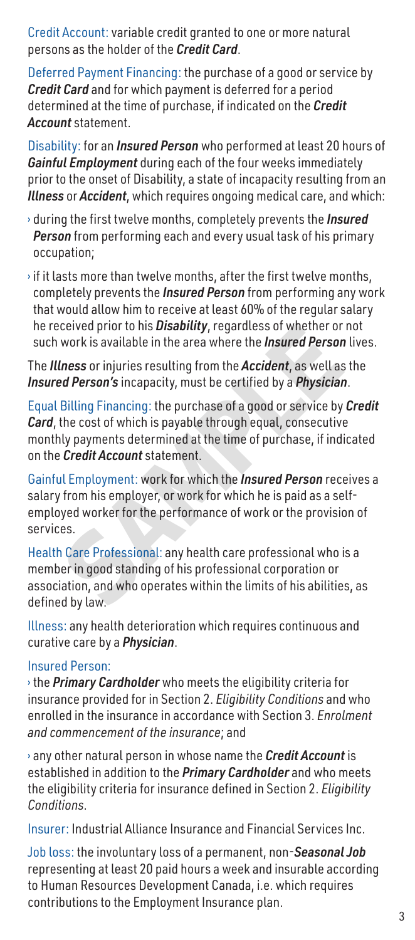Credit Account: variable credit granted to one or more natural persons as the holder of the *Credit Card*.

Deferred Payment Financing: the purchase of a good or service by *Credit Card* and for which payment is deferred for a period determined at the time of purchase, if indicated on the *Credit Account* statement.

Disability: for an *Insured Person* who performed at least 20 hours of *Gainful Employment* during each of the four weeks immediately prior to the onset of Disability, a state of incapacity resulting from an *Illness* or *Accident*, which requires ongoing medical care, and which:

- › during the first twelve months, completely prevents the *Insured Person* from performing each and every usual task of his primary occupation;
- $\cdot$  if it lasts more than twelve months, after the first twelve months, completely prevents the *Insured Person* from performing any work that would allow him to receive at least 60% of the regular salary he received prior to his *Disability*, regardless of whether or not such work is available in the area where the *Insured Person* lives.

The *Illness* or injuries resulting from the *Accident*, as well as the *Insured Person's* incapacity, must be certified by a *Physician*.

Equal Billing Financing: the purchase of a good or service by *Credit Card*, the cost of which is payable through equal, consecutive monthly payments determined at the time of purchase, if indicated on the *Credit Account* statement.

ceived prior to his *Disability*, regardless of whether or not<br>work is available in the area where the *Insured Person* liveness or injuries resulting from the *Accident*, as well as the<br>*Iness* or injuries resulting from Gainful Employment: work for which the *Insured Person* receives a salary from his employer, or work for which he is paid as a selfemployed worker for the performance of work or the provision of services.

Health Care Professional: any health care professional who is a member in good standing of his professional corporation or association, and who operates within the limits of his abilities, as defined by law.

Illness: any health deterioration which requires continuous and curative care by a *Physician*.

#### Insured Person:

› the *Primary Cardholder* who meets the eligibility criteria for insurance provided for in Section 2. *Eligibility Conditions* and who enrolled in the insurance in accordance with Section 3. *Enrolment and commencement of the insurance*; and

› any other natural person in whose name the *Credit Account* is established in addition to the *Primary Cardholder* and who meets the eligibility criteria for insurance defined in Section 2. *Eligibility Conditions*.

Insurer: Industrial Alliance Insurance and Financial Services Inc.

Job loss: the involuntary loss of a permanent, non-*Seasonal Job* representing at least 20 paid hours a week and insurable according to Human Resources Development Canada, i.e. which requires contributions to the Employment Insurance plan.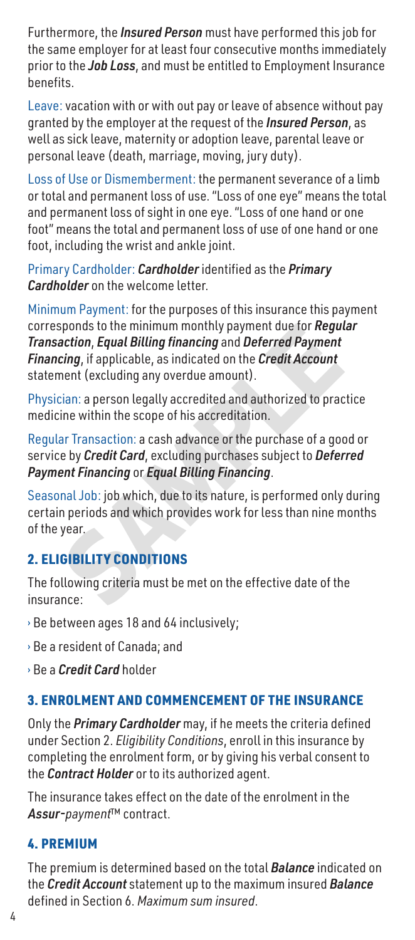Furthermore, the *Insured Person* must have performed this job for the same employer for at least four consecutive months immediately prior to the *Job Loss*, and must be entitled to Employment Insurance benefits.

Leave: vacation with or with out pay or leave of absence without pay granted by the employer at the request of the *Insured Person*, as well as sick leave, maternity or adoption leave, parental leave or personal leave (death, marriage, moving, jury duty).

Loss of Use or Dismemberment: the permanent severance of a limb or total and permanent loss of use. "Loss of one eye" means the total and permanent loss of sight in one eye. "Loss of one hand or one foot" means the total and permanent loss of use of one hand or one foot, including the wrist and ankle joint.

Primary Cardholder: *Cardholder* identified as the *Primary Cardholder* on the welcome letter.

sponds to the minimum monthly payment due for *Regular*<br>**Sample 15 and Billing financing** and **Deferred Payment**<br>**Cring,** if applicable, as indicated on the **Credit Account**<br>
nent (excluding any overdue amount).<br>
Lian: a Minimum Payment: for the purposes of this insurance this payment corresponds to the minimum monthly payment due for *Regular Transaction*, *Equal Billing financing* and *Deferred Payment Financing*, if applicable, as indicated on the *Credit Account* statement (excluding any overdue amount).

Physician: a person legally accredited and authorized to practice medicine within the scope of his accreditation.

Regular Transaction: a cash advance or the purchase of a good or service by *Credit Card*, excluding purchases subject to *Deferred Payment Financing* or *Equal Billing Financing*.

Seasonal Job: job which, due to its nature, is performed only during certain periods and which provides work for less than nine months of the year.

# 2. ELIGIBILITY CONDITIONS

The following criteria must be met on the effective date of the insurance:

- › Be between ages 18 and 64 inclusively;
- › Be a resident of Canada; and

› Be a *Credit Card* holder

## 3. ENROLMENT AND COMMENCEMENT OF THE INSURANCE

Only the *Primary Cardholder* may, if he meets the criteria defined under Section 2. *Eligibility Conditions*, enroll in this insurance by completing the enrolment form, or by giving his verbal consent to the *Contract Holder* or to its authorized agent.

The insurance takes effect on the date of the enrolment in the Assur-payment™ contract.

## 4. PREMIUM

The premium is determined based on the total *Balance* indicated on the *Credit Account* statement up to the maximum insured *Balance* defined in Section 6. *Maximum sum insured*.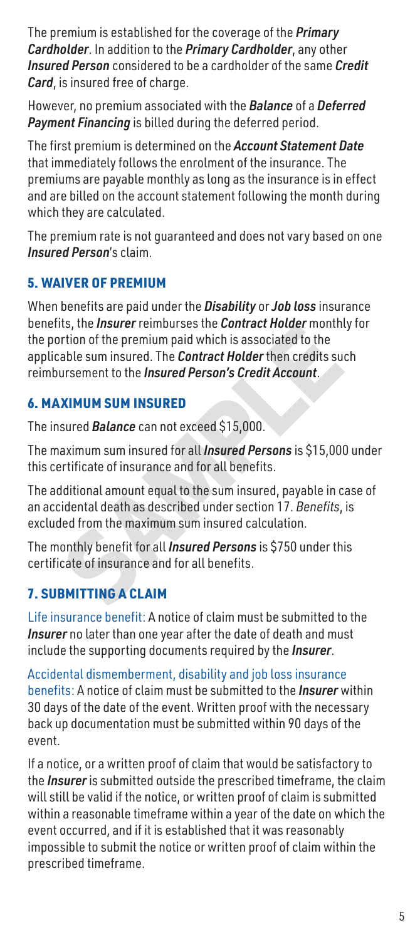The premium is established for the coverage of the *Primary Cardholder*. In addition to the *Primary Cardholder*, any other *Insured Person* considered to be a cardholder of the same *Credit Card*, is insured free of charge.

However, no premium associated with the *Balance* of a *Deferred Payment Financing* is billed during the deferred period.

The first premium is determined on the *Account Statement Date* that immediately follows the enrolment of the insurance. The premiums are payable monthly as long as the insurance is in effect and are billed on the account statement following the month during which they are calculated.

The premium rate is not guaranteed and does not vary based on one *Insured Person*'s claim.

## 5. WAIVER OF PREMIUM

Its, the *Insurer* Temburses the *Contract Houser* Inditing it<br>trion of the premium paid which is associated to the<br>able sum insured. The *Contract Holder* then credits such<br>ursement to the *Insured Person's Credit Account* When benefits are paid under the *Disability* or *Job loss* insurance benefits, the *Insurer* reimburses the *Contract Holder* monthly for the portion of the premium paid which is associated to the applicable sum insured. The *Contract Holder* then credits such reimbursement to the *Insured Person's Credit Account*.

## 6. MAXIMUM SUM INSURED

The insured *Balance* can not exceed \$15,000.

The maximum sum insured for all *Insured Persons* is \$15,000 under this certificate of insurance and for all benefits.

The additional amount equal to the sum insured, payable in case of an accidental death as described under section 17. *Benefits*, is excluded from the maximum sum insured calculation.

The monthly benefit for all *Insured Persons* is \$750 under this certificate of insurance and for all benefits.

# 7. SUBMITTING A CLAIM

Life insurance benefit: A notice of claim must be submitted to the *Insurer* no later than one year after the date of death and must include the supporting documents required by the *Insurer*.

Accidental dismemberment, disability and job loss insurance benefits: A notice of claim must be submitted to the *Insurer* within 30 days of the date of the event. Written proof with the necessary back up documentation must be submitted within 90 days of the event.

If a notice, or a written proof of claim that would be satisfactory to the *Insurer* is submitted outside the prescribed timeframe, the claim will still be valid if the notice, or written proof of claim is submitted within a reasonable timeframe within a year of the date on which the event occurred, and if it is established that it was reasonably impossible to submit the notice or written proof of claim within the prescribed timeframe.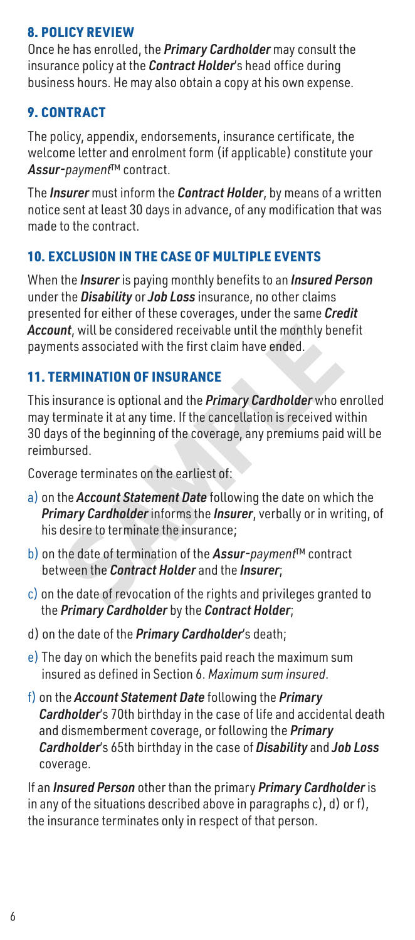#### 8. POLICY REVIEW

Once he has enrolled, the *Primary Cardholder* may consult the insurance policy at the *Contract Holder*'s head office during business hours. He may also obtain a copy at his own expense.

#### 9. CONTRACT

The policy, appendix, endorsements, insurance certificate, the welcome letter and enrolment form (if applicable) constitute your Assur-payment™ contract.

The *Insurer* must inform the *Contract Holder*, by means of a written notice sent at least 30 days in advance, of any modification that was made to the contract.

#### 10. EXCLUSION IN THE CASE OF MULTIPLE EVENTS

When the *Insurer* is paying monthly benefits to an *Insured Person* under the *Disability* or *Job Loss* insurance, no other claims presented for either of these coverages, under the same *Credit Account*, will be considered receivable until the monthly benefit payments associated with the first claim have ended.

#### 11. TERMINATION OF INSURANCE

**Int, will be considered receivable until the monthly benefit**<br>ents associated with the first claim have ended.<br>**ERMINATION OF INSURANCE**<br>surance is optional and the *Primary Cardholder* who enro<br>erminate it at any time. This insurance is optional and the *Primary Cardholder* who enrolled may terminate it at any time. If the cancellation is received within 30 days of the beginning of the coverage, any premiums paid will be reimbursed.

Coverage terminates on the earliest of:

- a) on the *Account Statement Date* following the date on which the *Primary Cardholder* informs the *Insurer*, verbally or in writing, of his desire to terminate the insurance;
- b) on the date of termination of the Assur-payment™ contract between the *Contract Holder* and the *Insurer*;
- c) on the date of revocation of the rights and privileges granted to the *Primary Cardholder* by the *Contract Holder*;
- d) on the date of the *Primary Cardholder*'s death;
- e) The day on which the benefits paid reach the maximum sum insured as defined in Section 6. *Maximum sum insured*.
- f) on the *Account Statement Date* following the *Primary Cardholder*'s 70th birthday in the case of life and accidental death and dismemberment coverage, or following the *Primary Cardholder*'s 65th birthday in the case of *Disability* and *Job Loss* coverage.

If an *Insured Person* other than the primary *Primary Cardholder* is in any of the situations described above in paragraphs c), d) or f), the insurance terminates only in respect of that person.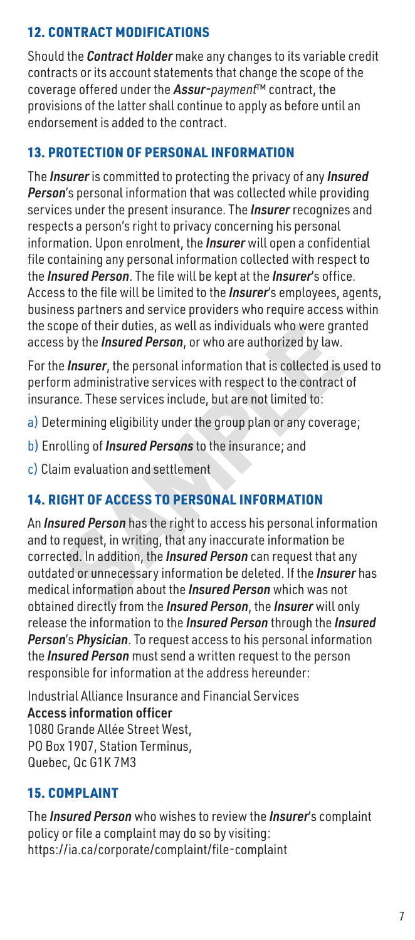## 12. CONTRACT MODIFICATIONS

Should the *Contract Holder* make any changes to its variable credit contracts or its account statements that change the scope of the coverage offered under the *Assur-payment*™ contract, the provisions of the latter shall continue to apply as before until an endorsement is added to the contract.

#### 13. PROTECTION OF PERSONAL INFORMATION

The *Insurer* is committed to protecting the privacy of any *Insured Person*'s personal information that was collected while providing services under the present insurance. The *Insurer* recognizes and respects a person's right to privacy concerning his personal information. Upon enrolment, the *Insurer* will open a confidential file containing any personal information collected with respect to the *Insured Person*. The file will be kept at the *Insurer*'s office. Access to the file will be limited to the *Insurer*'s employees, agents, business partners and service providers who require access within the scope of their duties, as well as individuals who were granted access by the *Insured Person*, or who are authorized by law.

For the *Insurer*, the personal information that is collected is used to perform administrative services with respect to the contract of insurance. These services include, but are not limited to:

- a) Determining eligibility under the group plan or any coverage;
- b) Enrolling of *Insured Persons* to the insurance; and
- c) Claim evaluation and settlement

## 14. RIGHT OF ACCESS TO PERSONAL INFORMATION

ope of their duties, as well as individuals who were grante<br>s by the *Insured Person*, or who are authorized by law.<br>*e Insurer*, the personal information that is collected is use<br>m administrative services with respect to An *Insured Person* has the right to access his personal information and to request, in writing, that any inaccurate information be corrected. In addition, the *Insured Person* can request that any outdated or unnecessary information be deleted. If the *Insurer* has medical information about the *Insured Person* which was not obtained directly from the *Insured Person*, the *Insurer* will only release the information to the *Insured Person* through the *Insured Person*'s *Physician*. To request access to his personal information the *Insured Person* must send a written request to the person responsible for information at the address hereunder:

Industrial Alliance Insurance and Financial Services Access information officer 1080 Grande Allée Street West, PO Box 1907, Station Terminus, Quebec, Qc G1K 7M3

## 15. COMPLAINT

The *Insured Person* who wishes to review the *Insurer*'s complaint policy or file a complaint may do so by visiting: https://ia.ca/corporate/complaint/file-complaint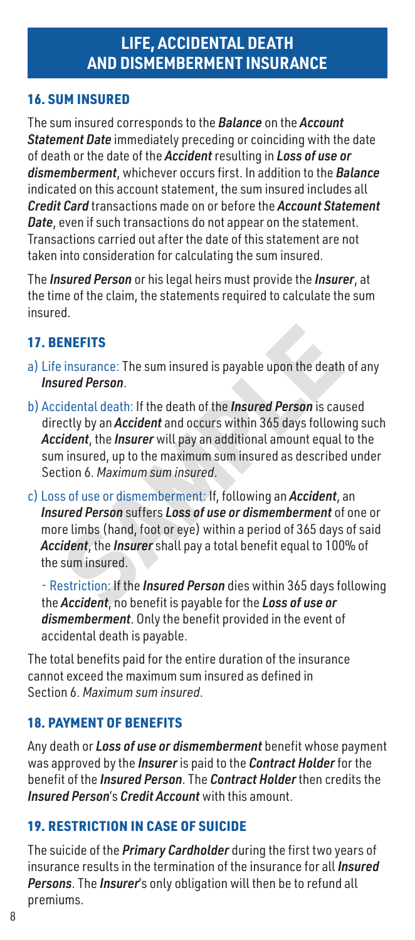# **LIFE, ACCIDENTAL DEATH AND DISMEMBERMENT INSURANCE**

### 16. SUM INSURED

The sum insured corresponds to the *Balance* on the *Account Statement Date* immediately preceding or coinciding with the date of death or the date of the *Accident* resulting in *Loss of use or dismemberment*, whichever occurs first. In addition to the *Balance* indicated on this account statement, the sum insured includes all *Credit Card* transactions made on or before the *Account Statement Date*, even if such transactions do not appear on the statement. Transactions carried out after the date of this statement are not taken into consideration for calculating the sum insured.

The *Insured Person* or his legal heirs must provide the *Insurer*, at the time of the claim, the statements required to calculate the sum insured.

#### 17. BENEFITS

- a) Life insurance: The sum insured is payable upon the death of any *Insured Person*.
- b) Accidental death: If the death of the *Insured Person* is caused directly by an *Accident* and occurs within 365 days following such *Accident*, the *Insurer* will pay an additional amount equal to the sum insured, up to the maximum sum insured as described under Section 6. *Maximum sum insured*.
- **ENEFITS**<br>
insurance: The sum insured is payable upon the death of a<br> **idental death:** If the death of the *Insured Person* is caused<br>
cectly by an *Accident* and occurs within 365 days following<br>
ident, the *Insurer* will c) Loss of use or dismemberment: If, following an *Accident*, an *Insured Person* suffers *Loss of use or dismemberment* of one or more limbs (hand, foot or eye) within a period of 365 days of said *Accident*, the *Insurer* shall pay a total benefit equal to 100% of the sum insured.

- Restriction: If the *Insured Person* dies within 365 days following the *Accident*, no benefit is payable for the *Loss of use or dismemberment*. Only the benefit provided in the event of accidental death is payable.

The total benefits paid for the entire duration of the insurance cannot exceed the maximum sum insured as defined in Section 6. *Maximum sum insured*.

#### 18. PAYMENT OF BENEFITS

Any death or *Loss of use or dismemberment* benefit whose payment was approved by the *Insurer* is paid to the *Contract Holder* for the benefit of the *Insured Person*. The *Contract Holder* then credits the *Insured Person*'s *Credit Account* with this amount.

#### 19. RESTRICTION IN CASE OF SUICIDE

The suicide of the *Primary Cardholder* during the first two years of insurance results in the termination of the insurance for all *Insured Persons*. The *Insurer*'s only obligation will then be to refund all premiums.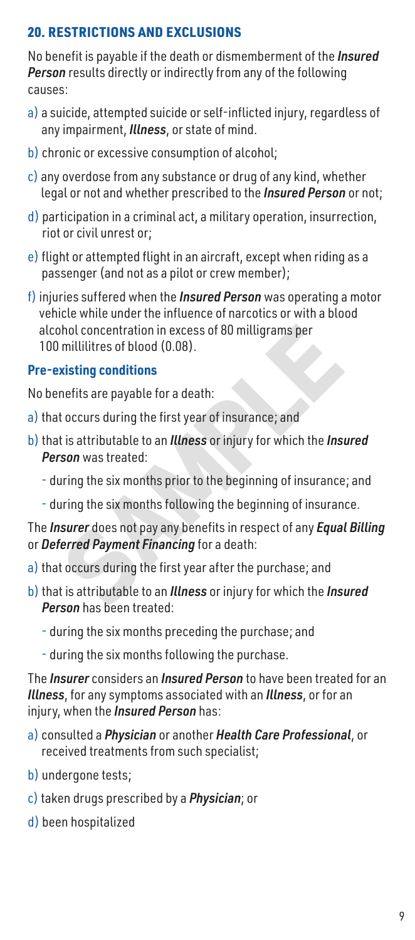### 20. RESTRICTIONS AND EXCLUSIONS

No benefit is payable if the death or dismemberment of the *Insured Person* results directly or indirectly from any of the following causes:

- a) a suicide, attempted suicide or self-inflicted injury, regardless of any impairment, *Illness*, or state of mind.
- b) chronic or excessive consumption of alcohol;
- c) any overdose from any substance or drug of any kind, whether legal or not and whether prescribed to the *Insured Person* or not;
- d) participation in a criminal act, a military operation, insurrection, riot or civil unrest or;
- e) flight or attempted flight in an aircraft, except when riding as a passenger (and not as a pilot or crew member);
- f) injuries suffered when the *Insured Person* was operating a motor vehicle while under the influence of narcotics or with a blood alcohol concentration in excess of 80 milligrams per 100 millilitres of blood (0.08).

#### **Pre-existing conditions**

No benefits are payable for a death:

- a) that occurs during the first year of insurance; and
- b)that is attributable to an *Illness* or injury for which the *Insured Person* was treated:
	- during the six months prior to the beginning of insurance; and
	- during the six months following the beginning of insurance.

hol concentration in excess of 80 milligrams per<br>millilitres of blood (0.08).<br>**xisting conditions**<br>mefits are payable for a death:<br>t occurs during the first year of insurance; and<br>is attributable to an **Illness** or injury The *Insurer* does not pay any benefits in respect of any *Equal Billing* or *Deferred Payment Financing* for a death:

- a) that occurs during the first year after the purchase; and
- b)that is attributable to an *Illness* or injury for which the *Insured Person* has been treated:
	- during the six months preceding the purchase; and
	- during the six months following the purchase.

The *Insurer* considers an *Insured Person* to have been treated for an *Illness*, for any symptoms associated with an *Illness*, or for an injury, when the *Insured Person* has:

- a) consulted a *Physician* or another *Health Care Professional*, or received treatments from such specialist;
- b) undergone tests;
- c) taken drugs prescribed by a *Physician*; or
- d) been hospitalized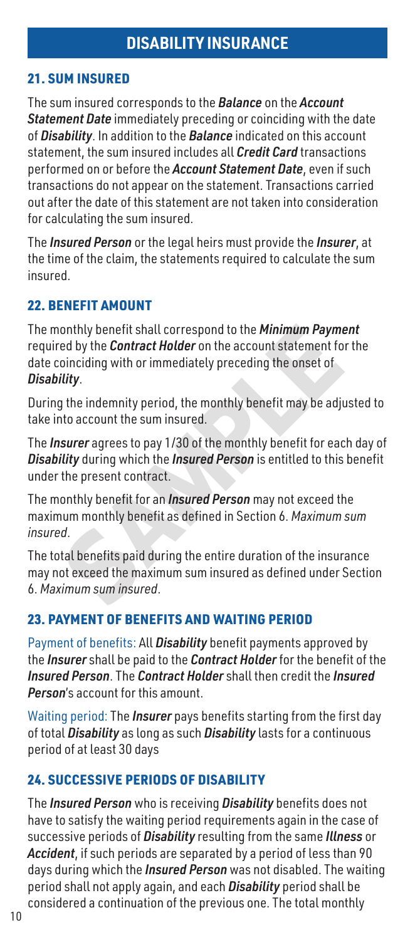# **DISABILITY INSURANCE**

## 21. SUM INSURED

The sum insured corresponds to the *Balance* on the *Account Statement Date* immediately preceding or coinciding with the date of *Disability*. In addition to the *Balance* indicated on this account statement, the sum insured includes all *Credit Card* transactions performed on or before the *Account Statement Date*, even if such transactions do not appear on the statement. Transactions carried out after the date of this statement are not taken into consideration for calculating the sum insured.

The *Insured Person* or the legal heirs must provide the *Insurer*, at the time of the claim, the statements required to calculate the sum insured.

## 22. BENEFIT AMOUNT

onthly benefit shall correspond to the *Minimum Payment*<br>ed by the *Contract Holder* on the account statement for th<br>oinciding with or immediately preceding the onset of<br>*ility*.<br>J the indemnity period, the monthly benefit The monthly benefit shall correspond to the *Minimum Payment* required by the *Contract Holder* on the account statement for the date coinciding with or immediately preceding the onset of *Disability*.

During the indemnity period, the monthly benefit may be adjusted to take into account the sum insured.

The *Insurer* agrees to pay 1/30 of the monthly benefit for each day of *Disability* during which the *Insured Person* is entitled to this benefit under the present contract.

The monthly benefit for an *Insured Person* may not exceed the maximum monthly benefit as defined in Section 6. *Maximum sum insured*.

The total benefits paid during the entire duration of the insurance may not exceed the maximum sum insured as defined under Section 6. *Maximum sum insured*.

# 23. PAYMENT OF BENEFITS AND WAITING PERIOD

Payment of benefits: All *Disability* benefit payments approved by the *Insurer* shall be paid to the *Contract Holder* for the benefit of the *Insured Person*. The *Contract Holder* shall then credit the *Insured Person*'s account for this amount.

Waiting period: The *Insurer* pays benefits starting from the first day of total *Disability* as long as such *Disability* lasts for a continuous period of at least 30 days

# 24. SUCCESSIVE PERIODS OF DISABILITY

The *Insured Person* who is receiving *Disability* benefits does not have to satisfy the waiting period requirements again in the case of successive periods of *Disability* resulting from the same *Illness* or *Accident*, if such periods are separated by a period of less than 90 days during which the *Insured Person* was not disabled. The waiting period shall not apply again, and each *Disability* period shall be considered a continuation of the previous one. The total monthly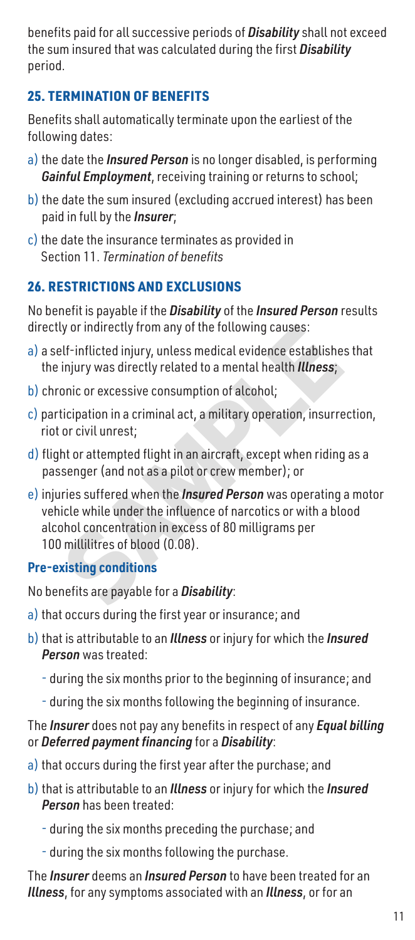benefits paid for all successive periods of *Disability* shall not exceed the sum insured that was calculated during the first *Disability* period.

#### 25. TERMINATION OF BENEFITS

Benefits shall automatically terminate upon the earliest of the following dates:

- a) the date the *Insured Person* is no longer disabled, is performing *Gainful Employment*, receiving training or returns to school;
- b) the date the sum insured (excluding accrued interest) has been paid in full by the *Insurer*;
- $c)$  the date the insurance terminates as provided in Section 11. *Termination of benefits*

## 26. RESTRICTIONS AND EXCLUSIONS

No benefit is payable if the *Disability* of the *Insured Person* results directly or indirectly from any of the following causes:

- a) a self-inflicted injury, unless medical evidence establishes that the injury was directly related to a mental health *Illness*;
- b) chronic or excessive consumption of alcohol;
- c) participation in a criminal act, a military operation, insurrection, riot or civil unrest;
- d) flight or attempted flight in an aircraft, except when riding as a passenger (and not as a pilot or crew member); or
- ly or indirectly from any of the following causes:<br>Elf-inflicted injury, unless medical evidence establishes th<br>injury was directly related to a mental health **Illness;**<br>onic or excessive consumption of alcohol;<br>ticipation e)injuries suffered when the *Insured Person* was operating a motor vehicle while under the influence of narcotics or with a blood alcohol concentration in excess of 80 milligrams per 100 millilitres of blood (0.08).

#### **Pre-existing conditions**

No benefits are payable for a *Disability*:

- a) that occurs during the first year or insurance; and
- b)that is attributable to an *Illness* or injury for which the *Insured Person* was treated:
	- during the six months prior to the beginning of insurance; and
	- during the six months following the beginning of insurance.

#### The *Insurer* does not pay any benefits in respect of any *Equal billing* or *Deferred payment financing* for a *Disability*:

- a) that occurs during the first year after the purchase; and
- b) that is attributable to an *Illness* or injury for which the *Insured Person* has been treated:
	- during the six months preceding the purchase; and
	- during the six months following the purchase.

The *Insurer* deems an *Insured Person* to have been treated for an *Illness*, for any symptoms associated with an *Illness*, or for an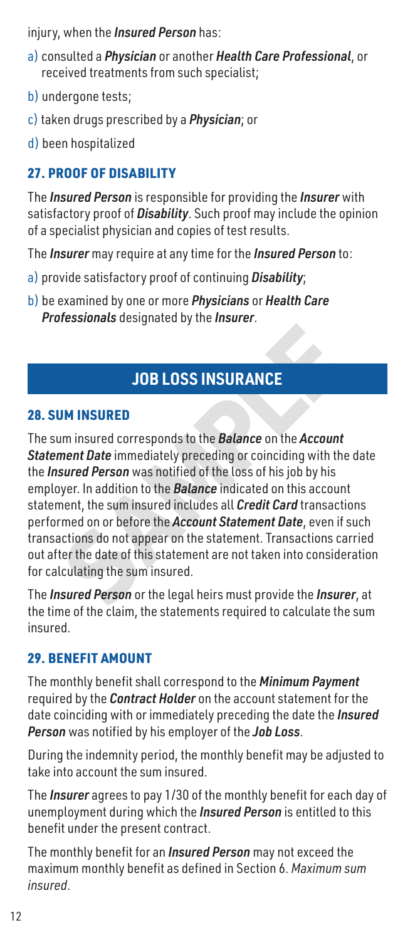injury, when the *Insured Person* has:

- a) consulted a *Physician* or another *Health Care Professional*, or received treatments from such specialist;
- b) undergone tests;
- c) taken drugs prescribed by a *Physician*; or
- d) been hospitalized

## 27. PROOF OF DISABILITY

The *Insured Person* is responsible for providing the *Insurer* with satisfactory proof of *Disability*. Such proof may include the opinion of a specialist physician and copies of test results.

The *Insurer* may require at any time for the *Insured Person* to:

- a) provide satisfactory proof of continuing *Disability*;
- b) be examined by one or more *Physicians* or *Health Care Professionals* designated by the *Insurer*.

# **JOB LOSS INSURANCE**

#### 28. SUM INSURED

**SAMPLE SET ASSEMANCE**<br> **SAMPLE SET ASSEMBED**<br>
IM INSURED<br>
IM INSURED<br>
IM INSURED<br>
IM INSURED<br>
IM INSURED<br>
IM INSURED<br>
IM INSURED<br>
IM INSURED<br>
IM INSURED<br>
IM INSURED<br>
IM INSURED<br>
IM INSURED<br>
IM INSURED<br>
IM INSURED<br>
INSUREM The sum insured corresponds to the *Balance* on the *Account Statement Date* immediately preceding or coinciding with the date the *Insured Person* was notified of the loss of his job by his employer. In addition to the *Balance* indicated on this account statement, the sum insured includes all *Credit Card* transactions performed on or before the *Account Statement Date*, even if such transactions do not appear on the statement. Transactions carried out after the date of this statement are not taken into consideration for calculating the sum insured.

The *Insured Person* or the legal heirs must provide the *Insurer*, at the time of the claim, the statements required to calculate the sum insured.

#### 29. BENEFIT AMOUNT

The monthly benefit shall correspond to the *Minimum Payment* required by the *Contract Holder* on the account statement for the date coinciding with or immediately preceding the date the *Insured Person* was notified by his employer of the *Job Loss*.

During the indemnity period, the monthly benefit may be adjusted to take into account the sum insured.

The *Insurer* agrees to pay 1/30 of the monthly benefit for each day of unemployment during which the *Insured Person* is entitled to this benefit under the present contract.

The monthly benefit for an *Insured Person* may not exceed the maximum monthly benefit as defined in Section 6. *Maximum sum insured*.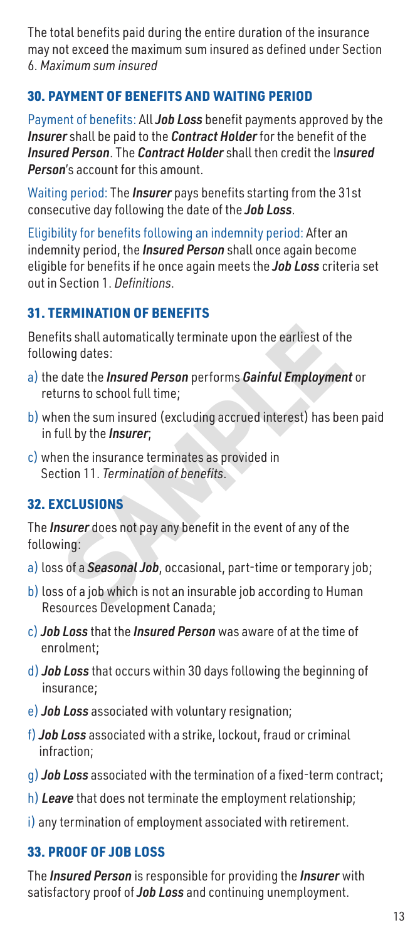The total benefits paid during the entire duration of the insurance may not exceed the maximum sum insured as defined under Section 6. *Maximum sum insured*

#### 30. PAYMENT OF BENEFITS AND WAITING PERIOD

Payment of benefits: All *Job Loss* benefit payments approved by the *Insurer* shall be paid to the *Contract Holder* for the benefit of the *Insured Person*. The *Contract Holder* shall then credit the I*nsured Person*'s account for this amount.

Waiting period: The *Insurer* pays benefits starting from the 31st consecutive day following the date of the *Job Loss*.

Eligibility for benefits following an indemnity period: After an indemnity period, the *Insured Person* shall once again become eligible for benefits if he once again meets the *Job Loss* criteria set out in Section 1. *Definitions*.

#### 31. TERMINATION OF BENEFITS

Benefits shall automatically terminate upon the earliest of the following dates:

- its shall automatically terminate upon the earliest of the<br>
ing dates:<br>
date the **Insured Person** performs **Gainful Employment** of<br>
urns to school full time;<br>
en the sum insured (excluding accrued interest) has been<br>
ull b a) the date the *Insured Person* performs *Gainful Employment* or returns to school full time;
- b) when the sum insured (excluding accrued interest) has been paid in full by the *Insurer*;
- c) when the insurance terminates as provided in Section 11. *Termination of benefits*.

## 32. EXCLUSIONS

The *Insurer* does not pay any benefit in the event of any of the following:

- a) loss of a *Seasonal Job*, occasional, part-time or temporary job;
- b) loss of a job which is not an insurable job according to Human Resources Development Canada;
- c) *Job Loss* that the *Insured Person* was aware of at the time of enrolment;
- d) *Job Loss* that occurs within 30 days following the beginning of insurance;
- e) *Job Loss* associated with voluntary resignation;
- f) *Job Loss* associated with a strike, lockout, fraud or criminal infraction;
- g) *Job Loss* associated with the termination of a fixed-term contract;
- h) *Leave* that does not terminate the employment relationship;
- i) any termination of employment associated with retirement.

#### 33. PROOF OF JOB LOSS

The *Insured Person* is responsible for providing the *Insurer* with satisfactory proof of *Job Loss* and continuing unemployment.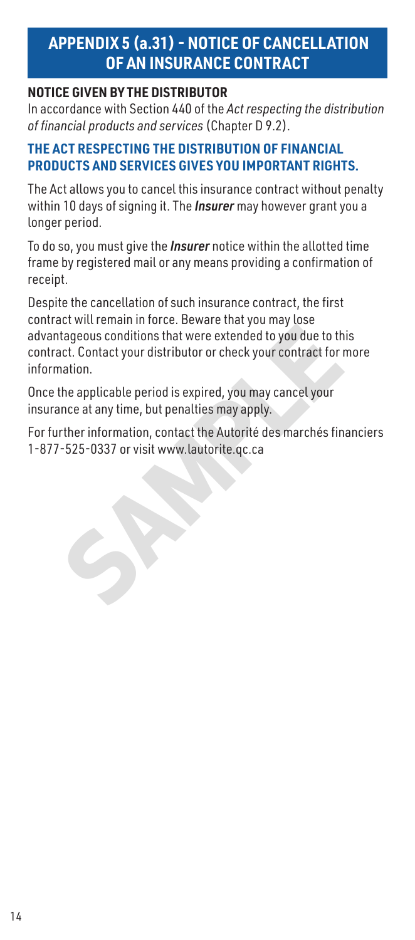# **APPENDIX 5 (a.31) - NOTICE OF CANCELLATION OF AN INSURANCE CONTRACT**

#### **NOTICE GIVEN BY THE DISTRIBUTOR**

In accordance with Section 440 of the *Act respecting the distribution of financial products and services* (Chapter D 9.2).

#### **THE ACT RESPECTING THE DISTRIBUTION OF FINANCIAL PRODUCTS AND SERVICES GIVES YOU IMPORTANT RIGHTS.**

The Act allows you to cancel this insurance contract without penalty within 10 days of signing it. The *Insurer* may however grant you a longer period.

To do so, you must give the *Insurer* notice within the allotted time frame by registered mail or any means providing a confirmation of receipt.

tageous conditions that were extended to you due to this tageous conditions that were extended to you due to this nect. Contact your distributor or check your contract for moration.<br>The applicable period is expired, you ma Despite the cancellation of such insurance contract, the first contract will remain in force. Beware that you may lose advantageous conditions that were extended to you due to this contract. Contact your distributor or check your contract for more information.

Once the applicable period is expired, you may cancel your insurance at any time, but penalties may apply.

For further information, contact the Autorité des marchés financiers 1-877-525-0337 or visit www.lautorite.qc.ca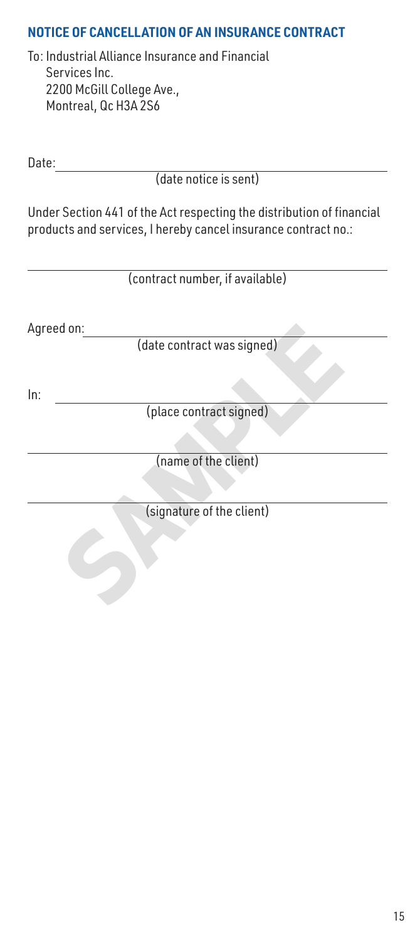#### **NOTICE OF CANCELLATION OF AN INSURANCE CONTRACT**

To: Industrial Alliance Insurance and Financial Services Inc. 2200 McGill College Ave., Montreal, Qc H3A 2S6

Date:

(date notice is sent)

Under Section 441 of the Act respecting the distribution of financial products and services, I hereby cancel insurance contract no.:

| (contract number, if available) |
|---------------------------------|
|                                 |
| Agreed on:                      |
| (date contract was signed)      |
|                                 |
| In:                             |
| (place contract signed)         |
|                                 |
| (name of the client)            |
|                                 |
| (signature of the client)       |
|                                 |
|                                 |
|                                 |
|                                 |